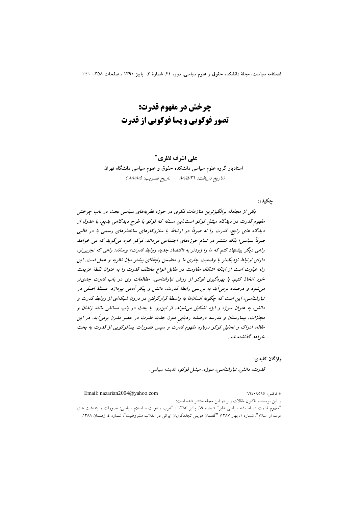چرخش در مفهوم قدرت: تصور فوکویی و پسا فوکویی از قدرت

# على اشرف نظري \*

استادیار گروه علوم سیاسی دانشکده حقوق و علوم سیاسی دانشگاه تهران (تاريخ دريافت: ٨٨/٥/٣١ - تاريخ تصويب: ٨٨/٨/٥)

جكيده:

یکی از مجادله برانگیزترین منازعات فکری در حوزه نظریههای سیاسی بحث در باب چرخش مفهوم قدرت در دیدگاه میشل فوکو است.این مسئله که فوکو با طرح دیدگاهی بدیع، با عدول از دیدگاه های رایج، قدرت را نه صرفاً در ارتباط با سازوکارهای ساختارهای رسمی یا در قالبی صرفاً سیاسی؛ بلکه منتشر در تمام حوزههای اجتماعی میداند. فوکو خود میگوید که می خواهد راهی دیگر پیشنهاد کنم که ما را زودتر به «اقتصاد جدید روابط قدرت» برساند؛ راهی که تجربی تر، دارای ارتباط نزدیک تر با وضعیت جاری ما و متضمن رابطهٔای بیشتر میان نظریه و عمل است. این راه عبارت است از اینکه اشکال مقاومت در مقابل انواع مختلف قدرت را به عنوان نقطهٔ عزیمت خود اتخاذ کنیم. با بهرهگیری فوکو از روش تبارشناسی، مطالعات وی در باب قدرت جدی تر می شود و درصدد برمی آید به بررسی رابطهٔ قدرت، دانش و پیکر آدمی بیردازد. مسئلهٔ اصلی در تبارشناسی، این است که چگونه انسانها به واسطهٔ قرارگرفتن در درون شبکهای از روابط قدرت و دانش، به عنوان سوژه و ابژه تشکیل می شوند. از این رو، با بحث در باب مسائلی مانند زندان و مجازات، بیمارستان و مدرسه درصدد ردیابی فنون جدید قدرت در عصر مدرن برمیآید. در این مقاله، ادراک و تحلیل فوکو درباره مفهوم قدرت و سپس تصورات پسافوکویی از قدرت به بحث خەاھد گذاشتە شد.

واژگان كليدى:

قلىرت، دانش، تبارشناسى، سوژه، ميشل قوكو، انديشه سياسى.

 $772.9090: x58$ \*

Email: nazarian2004@yahoo.com

از این نویسنده تاکنون مقالات زیر در این مجله منتشر شده است: "مفهوم قدرت در اندیشه سیاسی هابز" شماره ٦٩، پائیز ١٣٨٤ ؛ "غرب ، هویت و اسلام سیاسی: تصورات و پنداشت های غرب از اسلام"، شماره ۱، بهار ۱۳۸۷؛ "گفتمان هویتی تجددگرایان ایرانی در انقلاب مشروطیت"، شماره ٤، زمستان ۱۳۸۸.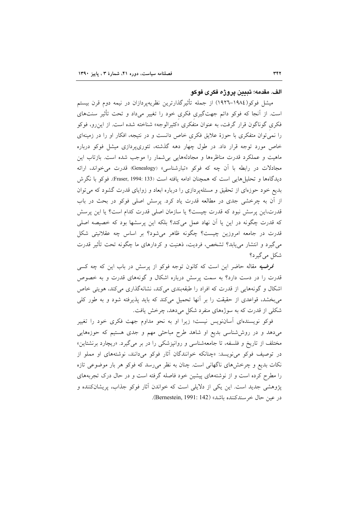### الف. مقدمه؛ تبيين پروژه فكرى فوكو

میشل فوکو(١٩٨٤–١٩٢٦) از جمله تأثیرگذارترین نظریهپردازان در نیمه دوم قرن بیستم است. از أنجا که فوکو دائم جهتگیری فکری خود را تغییر میداد و تحت تأثیر سنتهای فکری گوناگون قرار گرفت، به عنوان متفکری «کثیرالوجه» شناخته شده است. از این رو، فوکو را نمی توان متفکری با حوزهٔ علایق فکری خاص دانست و در نتیجه، افکار او را در زمینهای خاص مورد توجه قرار داد. در طول چهار دهه گذشته، تئوریپردازی میشل فوکو درباره ماهیت و عملکرد قدرت مناظرهها و مجادلههایی بیشمار را موجب شده است. بازتاب این مجادلات در رابطه با آن چه كه فوكو «تبارشناسي» (Genealogy) قدرت مى خواند، ارائه ديدگاهها و تحليلهايي است كه همچنان ادامه يافته است (Fraser, 1994: 133). فوكو با نگرش بدیع خود حوزهای از تحقیق و مسئلهپردازی را درباره ابعاد و زوایای قدرت گشود که می توان از آن به چرخشی جدی در مطالعه قدرت یاد کرد. پرسش اصلی فوکو در بحث در باب قدرت،این پرسش نبود که قدرت چیست؟ یا سازمان اصلی قدرت کدام است؟ یا این پرسش که قدرت چگونه در این یا آن نهاد عمل میکند؟ بلکه این پرسشها بود که خصیصه اصلی قدرت در جامعه امروزین چیست؟ چگونه ظاهر میشود؟ بر اساس چه عقلانیتی شکل میگیرد و انتشار می،یابد؟ تشخص، فردیت، ذهنیت و کردارهای ما چگونه تحت تأثیر قدرت شکل میگیرد؟

قرضیه مقاله حاضر این است که کانون توجه فوکو از پرسش در باب این که چه کسی قدرت را در دست دارد؟ به سمت پرسش درباره اشکال و گونههای قدرت و به خصوص اشکال و گونههایی از قدرت که افراد را طبقهبندی میکند، نشانهگذاری میکند، هویتی خاص می بخشد، قواعدی از حقیقت را بر آنها تحمیل میکند که باید پذیرفته شود و به طور کلی شکلی از قدرت که به سوژههای منفرد شکل میدهد، چرخش یافت.

فوکو نویسندهای اساننویس نیست؛ زیرا او به نحو مداوم جهت فکری خود را تغییر میدهد و در روششناسی بدیع او شاهد طرح مباحثی مهم و جدی هستیم که حوزههایی مختلف از تاریخ و فلسفه، تا جامعهشناسی و روانپزشکی را در بر میگیرد. «ریچارد برنشتاین» در توصیف فوکو می نویسد: «چنانکه خوانندگان آثار فوکو میدانند، نوشتههای او مملو از نکات بدیع و چرخشهای ناگهانی است. چنان به نظر می رسد که فوکو هر بار موضوعی تازه را مطرح کرده است و از نوشتههای پیشین خود فاصله گرفته است و در حال درک تجربههای یژوهشی جدید است. این یکی از دلایلی است که خواندن آثار فوکو جذاب، پریشانکننده و در عين حال خرسندكننده باشد» (Bernestein, 1991: 142).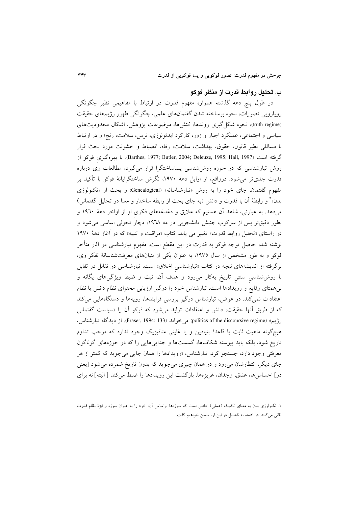## ب. تحليل روابط قدرت از منظر فوكو

در طول پنج دهه گذشته همواره مفهوم قدرت در ارتباط با مفاهیمی نظیر چگونگی رویارویی تصورات، نحوه برساخته شدن گفتمانهای علمی، چگونگی ظهور رژیمهای حقیقت (truth regime)، نحوه شکل گیری روندها، کنشها، موضوعات پژوهش، اشکال محدودیتهای سیاسی و اجتماعی، عملکرد اجبار و زور، کارکرد ایدئولوژی، ترس، سلامت، رنج؛ و در ارتباط با مسائلی نظیر قانون، حقوق، بهداشت، سلامت، رفاه، انضباط و خشونت مورد بحث قرار گرفته است (Barthes, 1977; Butler, 2004; Deleuze, 1995; Hall, 1997). با بهرهگیری فوکو از روش تبارشناسی که در حوزه روششناسی پساساختگرا قرار میگیرد، مطالعات وی درباره قدرت جدیتر میشود. درواقع، از اوایل دههٔ ۱۹۷۰، نگرش ساختگرایانهٔ فوکو با تأکید بر مفهوم گفتمان، جای خود را به روش «تبارشناسانه» (Genealogical) و بحث از «تکنولوژی بدن» ٌ و رابطهٔ أن با قدرت و دانش (به جای بحث از رابطهٔ ساختار و معنا در تحلیل گفتمانی) میدهد. به عبارتی، شاهد آن هستیم که علایق و دغدغههای فکری او از اواخر دههٔ ۱۹٦۰ و بطور دقیقتر پس از سرکوب جنبش دانشجویی در مه ۱۹۶۸، دچار تحولی اساسی می شود و در راستای «تحلیل روابط قدرت» تغییر می یابد. کتاب «مراقبت و تنبیه» که در آغاز دههٔ ۱۹۷۰ نوشته شد، حاصل توجه فوکو به قدرت در این مقطع است. مفهوم تبارشناسی در آثار متأخر فوکو و به طور مشخص از سال ۱۹۷۵، به عنوان یکی از بنیانهای معرفتشناسانهٔ تفکر وی، برگرفته از اندیشههای نیچه در کتاب «تبارشناسی اخلاق» است. تبارشناسی در تقابل در تقابل با روششناسی سنتی تاریخ بهکار میرود و هدف آن، ثبت و ضبط ویژگیهای یگانه و بی همتای وقایع و رویدادها است. تبارشناس خود را درگیر ارزیابی محتوای نظام دانش یا نظام اعتقادات نمی کند. در عوض، تبارشناس درگیر بررسی فرایندها، رویهها و دستگاههایی می کند که از طریق آنها حقیقت، دانش و اعتقادات تولید میشود که فوکو آن را «سیاست گفتمانی رژیم» (politics of the discoursive regime) می خواند (Fraser, 1994: 133). از دیدگاه تبارشناس، هیچگونه ماهیت ثابت یا قاعدهٔ بنیادین و یا غایتی متافیزیک وجود ندارد که موجب تداوم تاریخ شود، بلکه باید پیوسته شکافها، گسستها و جداییهایی را که در حوزههای گوناگون معرفتی وجود دارد، جستجو کرد. تبارشناس، «رویدادها را همان جایی میجوید که کمتر از هر جای دیگر، انتظارشان میرود و در همان چیزی میجوید که بدون تاریخ شمرده میشود [یعنی در] احساسها، عشق، وجدان، غريزهها. بازگشت اين رويدادها را ضبط مي كند [ البته] نه براى

۱. تکنولوژی بدن به معنای تکنیک (عملی) خاص است که سوژهها براساس آن، خود را به عنوان سوژه و ابژهٔ نظام قدرت تلقی میکنند. در ادامه، به تفصیل در اینباره سخن خواهیم گفت.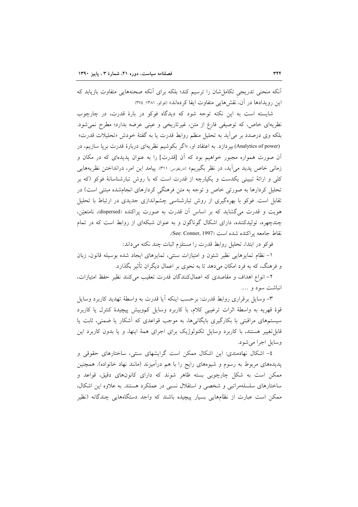اّنکه منحنی تدریجی تکاملشان را ترسیم کند؛ بلکه برای اّنکه صحنههایی متفاوت بازیابد که این رویدادها در آن، نقشهایی متفاوت ایفا کردهاند» (فوکو، ۱۳۸۱: ۳۷٤)

شایسته است به این نکته توجه شود که دیدگاه فوکو در بارهٔ قدرت، در چارچوب نظریهای خاص، که توصیفی فارغ از متن، غیرتاریخی و عینی عرضه بدارد؛ مطرح نمی شود. بلکه وی درصدد بر میآید به تحلیل منظم روابط قدرت یا به گفتهٔ خودش «تحلیلات قدرت» (Analytics of power)بیردازد. به اعتقاد او، «اگر بکوشیم نظریهای دربارهٔ قدرت برپا سازیم، در آن صورت همواره مجبور خواهیم بود که آن [قدرت] را به عنوان پدیدهای که در مکان و زمانی خاص پدید می آید، در نظر بگیریم» (دریفوس: ۳۱۱). پیامد این امر، درانداختن نظریههایی کلی و ارائهٔ تبیینی یکدست و یکپارچه از قدرت است که با روش تبارشناسانهٔ فوکو (که بر تحلیل کردارها به صورتی خاص و توجه به متن فرهنگی کردارهای انجامشده مبتنی است) در تقابل است. فوکو با بهرهگیری از روش تبارشناسی چشماندازی جدیدی در ارتباط با تحلیل هویت و قدرت میگشاید که بر اساس آن قدرت به صورت پراکنده (dispersed)، نامتعیّن، چندچهره، تولیدکننده، دارای اشکال گوناگون و به عنوان شبکهای از روابط است که در تمام نقاط جامعه پراکنده شده است (See: Conner, 1997).

فوكو در ابتدا، تحليل روابط قدرت را مستلزم اثبات چند نكته مى داند:

١- نظام تمايزهايي نظير شئون و امتيازات سنتي، تمايزهاي ايجاد شده بوسيله قانون، زبان و فرهنگ، که به فرد امکان میدهد تا به نحوی بر اعمال دیگران تأثیر بگذارد.

٢- انواع اهداف و مقاصدى كه اعمالكنندگان قدرت تعقيب مى كنند نظير حفظ امتيازات، انباشت سود و ....

٣- وسایل برقراری روابط قدرت: برحسب اینکه أیا قدرت به واسطهٔ تهدید کاربرد وسایل قوهٔ قهریه به واسطهٔ اثرات ترغیبی کلام، با کاربرد وسایل کموبیش پیچیدهٔ کنترل یا کاربرد سیستمهای مراقبتی با بکارگیری بایگانیها، به موجب قواعدی که آشکار یا ضمنی، ثابت یا قابلتغییر هستند، با کاربرد وسایل تکنولوژیک برای اجرای همهٔ اینها، و یا بدون کاربرد این وسايل اجرا مي شود.

٤- اشكال نهادمندي: اين اشكال ممكن است گرايشهاي سنتي، ساختارهاي حقوقي و پدیدههای مربوط به رسوم و شیوههای رایج را با هم درآمیزند (مانند نهاد خانواده). همچنین ممکن است به شکل چارچوبی بسته ظاهر شوند که دارای کانونهای دقیق، قواعد و ساختارهای سلسلهمراتبی و شخصی و استقلال نسبی در عملکرد هستند. به علاوه این اشکال، ممکن است عبارت از نظامهایی بسیار پیچیده باشند که واجد دستگاههایی چندگانه (نظیر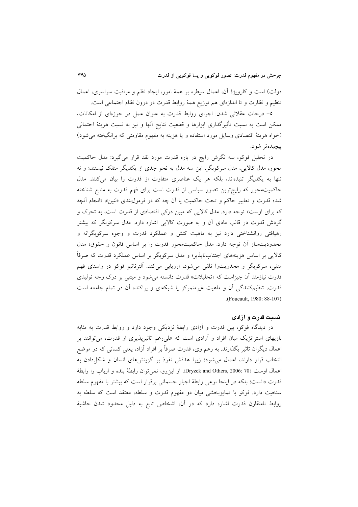دولت) است و کارویژهٔ آن، اعمال سیطره بر همهٔ امور، ایجاد نظم و مراقبت سراسری، اعمال تنظیم و نظارت و تا اندازهای هم توزیع همهٔ روابط قدرت در درون نظام اجتماعی است.

٥- درجات عقلانی شدن: اجرای روابط قدرت به عنوان عمل در حوزهای از امکانات، ممکن است به نسبت تأثیرگذاری ابزارها و قطعیت نتایج آنها و نیز به نسبت هزینهٔ احتمالی (خواه هزینهٔ اقتصادی وسایل مورد استفاده و یا هزینه به مفهوم مقاومتی که برانگیخته می شود) ييچيدەتر شود.

در تحلیل فوکو، سه نگرش رایج در باره قدرت مورد نقد قرار میگیرد: مدل حاکمیت محور، مدل کالایی، مدل سرکوبگر. این سه مدل به نحو جدی از یکدیگر منفک نیستند؛ و نه تنها به یکدیگر تنیدهاند، بلکه هر یک عناصری متفاوت از قدرت را بیان میکنند. مدل حاکمیت محور که رایج ترین تصور سیاسی از قدرت است برای فهم قدرت به منابع شناخته شده قدرت و تعابیر حاکم و تحت حاکمیت یا اَن چه که در فرمول،بندی «لنین»، «انجام اَنچه که برای اوست» توجه دارد. مدل کالایی که مبین درکی اقتصادی از قدرت است، به تحرک و گردش قدرت در قالب مادی آن و به صورت کالایی اشاره دارد. مدل سرکوبگر که بیشتر رهیافتی روانشناختی دارد نیز به ماهیت کنش و عملکرد قدرت و وجوه سرکوبگرانه و محدودیتساز آن توجه دارد. مدل حاکمیتمحور قدرت را بر اساس قانون و حقوق؛ مدل کالایی بر اساس هزینههای اجتنابناپذیر؛ و مدل سرکوبگر بر اساس عملکرد قدرت که صرفاً منفی، سرکوبگر و محدویتزا تلقی میشود، ارزیابی میکند. آلترناتیو فوکو در راستای فهم قدرت نیازمند آن چیزاست که «تحلیلات» قدرت دانسته می شود و مبتنی بر درک وجه تولیدی قدرت، تنظیمکنندگی آن و ماهیت غیرمتمرکز یا شبکهای و پراکنده آن در تمام جامعه است (Foucault, 1980: 88-107).

## نسبت قدرت و آزادی

در دیدگاه فوکو، بین قدرت و أزادی رابطهٔ نزدیکی وجود دارد و روابط قدرت به مثابه بازیهای استراتژیک میان افراد و آزادی است که علی رغم تاثیرپذیری از قدرت، می توانند بر اعمال دیگران تاثیر بگذارند. به زعم وی، قدرت صرفاً بر افراد آزاد، یعنی کسانی که در موضع انتخاب قرار دارند، اعمال میشود؛ زیرا هدفش نفوذ بر گزینشهای انسان و شکل دادن به اعمال اوست (Dryzek and Others, 2006: 70). از این رو، نمی توان رابطهٔ بنده و ارباب را رابطهٔ قدرت دانست؛ بلکه در اینجا نوعی رابطهٔ اجبار جسمانی برقرار است که بیشتر با مفهوم سلطه سنخیت دارد. فوکو با تمایزبخشی میان دو مفهوم قدرت و سلطه، معتقد است که سلطه به روابط نامتقارن قدرت اشاره دارد که در آن، اشخاص تابع به دلیل محدود شدن حاشیهٔ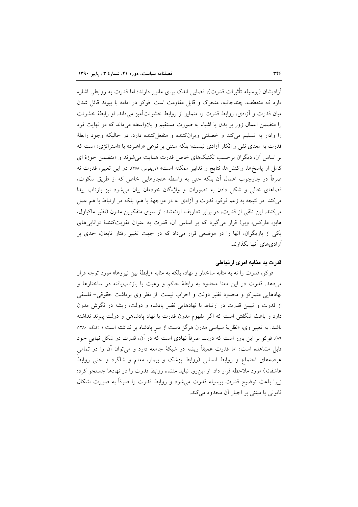آزادیشان (بوسیله تأثیرات قدرت)، فضایبی اندک برای مانور دارند؛ اما قدرت به روابطی اشاره دارد که منعطف، چندجانبه، متحرک و قابل مقاومت است. فوکو در ادامه با پیوند قائل شدن میان قدرت و آزادی، روابط قدرت را متمایز از روابط خشونتآمیز میداند. او رابطهٔ خشونت را متضمن اعمال زور بر بدن یا اشیاء به صورت مستقیم و بلاواسطه میداند که در نهایت فرد را وادار به تسليم مي كند و خصلتي ويرانكننده و منفعل كننده دارد. در حاليكه وجود رابطة قدرت به معنای نفی و انکار آزادی نیست؛ بلکه مبتنی بر نوعی «راهبرد» یا «استراتژی» است که بر اساس آن، دیگران برحسب تکنیکهای خاص قدرت هدایت می شوند و «متضمن حوزهٔ ای كامل از ياسخها، واكنشها، نتايج و تدابير ممكنه است» (دريفوس: ٣٥٨). در اين تعبير، قدرت نه صرفاً در چارچوب اعمال آن بلکه حتی به واسطه هنجارهایی خاص که از طریق سکوت، فضاهای خالی و شکل دادن به تصورات و واژهگان خودمان بیان می شود نیز بازتاب پیدا می کند. در نتیجه به زعم فوکو، قدرت و آزادی نه در مواجههٔ با هم، بلکه در ارتباط با هم عمل می کنند. این تلقی از قدرت، در برابر تعاریف ارائهشده از سوی متفکرین مدرن (نظیر ماکیاول، هابز، مارکس، وبر) قرار میگیرد که بر اساس آن، قدرت به عنوان تقویتکنندهٔ تواناییهای یکی از بازیگران، آنها را در موضعی قرار میداد که در جهت تغییر رفتار تابعان، حدی بر آزادي هاي آنها بگذارند.

### قدرت به مثابه امری ارتباطی

فوکو، قدرت را نه به مثابه ساختار و نهاد، بلکه به مثابه «رابطهٔ بین نیروها» مورد توجه قرار میدهد. قدرت در این معنا محدود به رابطهٔ حاکم و رعیت یا بازتابیافته در ساختارها و نهادهایی متمرکز و محدود نظیر دولت و احزاب نیست. از نظر وی برداشت حقوقی– فلسفی از قدرت و تبیین قدرت در ارتباط با نهادهایی نظیر پادشاه و دولت، ریشه در نگرش مدرن دارد و باعث شگفتی است که اگر مفهوم مدرن قدرت با نهاد پادشاهی و دولت پیوند نداشته باشد. به تعبیر وی، «نظریهٔ سیاسی مدرن هرگز دست از سر پادشاه بر نداشته است » (کلگ، ۱۳۸۰: ٨٩٪. فوکو بر این باور است که دولت صرفاً نهادی است که در آن، قدرت در شکل نهایی خود قابل مشاهده است؛ اما قدرت عمیقاً ریشه در شبکهٔ جامعه دارد و می توان آن را در تمامی عرصههای اجتماع و روابط انسانی (روابط پزشک و بیمار، معلم و شاگرد و حتی روابط عاشقانه) مورد ملاحظه قرار داد. از این رو، نباید منشاء روابط قدرت را در نهادها جستجو کرد؛ زیرا باعث توضیح قدرت بوسیله قدرت می شود و روابط قدرت را صرفاً به صورت اشکال قانوني يا مبتني بر اجبار أن محدود مي كند.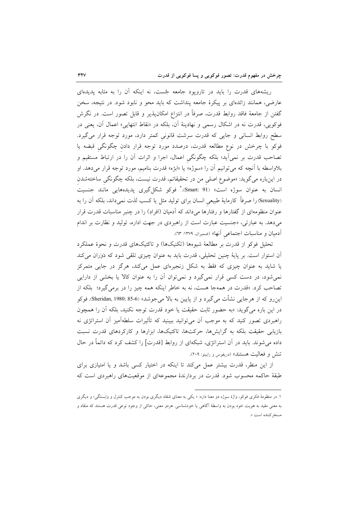ریشههای قدرت را باید در تارویود جامعه جُست، نه اینکه آن را به مثابه پدیدهای عارضی، همانند زائدهای بر پیکرهٔ جامعه پنداشت که باید محو و نابود شود. در نتیجه، سخن گفتن از جامعهٔ فاقد روابط قدرت، صرفاً در انتزاع امکانپذیر و قابل تصور است. در نگرش فوکویی، قدرت نه در اشکال رسمی و نهادینهٔ آن، بلکه در «نقاط انتهایی» اعمال آن، یعنی در سطح روابط انسانی و جایی که قدرت سرشت قانونی کمتر دارد، مورد توجه قرار میگیرد. فوکو با چرخش در نوع مطالعه قدرت، درصدد مورد توجه قرار دادن چگونگی قبضه یا تصاحب قدرت بر نمیٍآید؛ بلکه چگونگی اعمال، اجرا و اثرات أن را در ارتباط مستقیم و بلاواسطه با آنچه که میتوانیم آن را «سوژه» یا «ابژه» قدرت بنامیم، مورد توجه قرار میدهد. او در اینباره میگوید: «موضوع اصلی من در تحقیقاتم، قدرت نیست، بلکه چگونگی ساختهشدن انسان به عنوان سوژه است» (Smart: 91). \* فوكو شكل گيري پديدههايي مانند جنسيت (Sexuality)را صرفاً كارماية طبيعي انسان براي توليد مثل يا كسب لذت نميداند، بلكه آن را به عنوان منظومهای از گفتارها و رفتارها میداند که اَدمیان (افراد) را در چنبر مناسبات قدرت قرار میدهد. به عبارتی، «جنسیت عبارت است از راهبردی در جهت اداره، تولید و نظارت بر اندام آدمیان و مناسبات اجتماعی آنها» (ضمیران، ۱۳۷۹: ٦٣).

تحلیل فوکو از قدرت بر مطالعهٔ شیوهها (تکنیکها) و تاکتیکهای قدرت و نحوهٔ عملکرد آن استوار است. بر پایهٔ چنین تحلیلی، قدرت باید به عنوان چیزی تلقی شود که دَوَران میکند یا شاید به عنوان چیزی که فقط به شکل زنجیرهای عمل میکند، هرگز در جایی متمرکز نمیشود، در دست کسی قرار نمیگیرد و نمیتوان آن را به عنوان کالا یا بخشی از دارایی تصاحب کرد. «قدرت در همهجا هست، نه به خاطر اینکه همه چیز را در برمیگیرد؛ بلکه از اینرو که از هرجایی نشأت میگیرد و از پایین به بالا میجوشد» (Sheridan, 1980: 85-6). فوکو در این باره می گوید: «به حضور ثابت حقیقت یا خود قدرت توجه نکنید، بلکه آن را همچون راهبردی تصور کنید که به موجب آن میٍتوانید ببینید که تأثیرات سلطهآمیز آن استراتژی نه بازیابی حقیقت بلکه به گرایش ها، حرکتها، تاکتیکها، ابزارها و کارکردهای قدرت نسبت داده میشوند. باید در آن استراتژی، شبکهای از روابط [قدرت] را کشف کرد که دائماً در حال تنش و فعالیت هستند» (دریفوس و رابینو: ۲۰۹).

از این منظر، قدرت بیشتر عمل می کند تا اینکه در اختیار کسی باشد و یا امتیازی برای طبقهٔ حاکمه محسوب شود. قدرت در بردارندهٔ مجموعهای از موقعیتهای راهبردی است که

۱. در منظومهٔ فکری فوکو، واژهٔ سوژه دو معنا دارد: « یکی به معنای مُنقاد دیگری بودن به موجب کنترل و وابستگی؛ و دیگری به معنی مقید به هویت خود بودن به واسطهٔ آگاهی یا خودشناسی. هردو معنی، حاکی از وجود نوعی قدرت هستند که منقاد و مسخر كننده است ».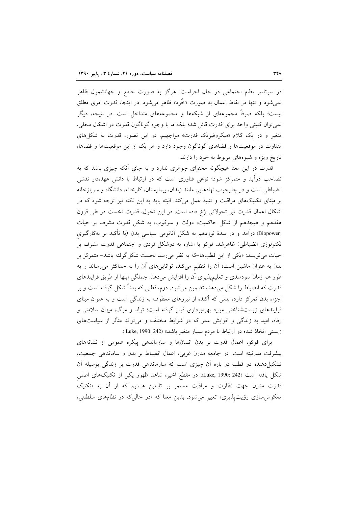در سرتاسر نظام اجتماعی در حال اجراست. هرگز به صورت جامع و جهانشمول ظاهر نمي شود و تنها در نقاط اعمال به صورت «خُرِد» ظاهر مي شود. در اينجا، قدرت امري مطلق نیست؛ بلکه صرفاً مجموعهای از شبکهها و مجموعههای متداخل است. در نتیجه، دیگر نمی توان کلیتی واحد برای قدرت قائل شد؛ بلکه ما با وجوه گوناگون قدرت در اشکال محلی، متغیر و در یک کلام «میکروفیزیک قدرت» مواجهیم. در این تصور، قدرت به شکلهای متفاوت در موقعیتها و فضاهای گوناگون وجود دارد و هر یک از این موقعیتها و فضاها، تاریخ ویژه و شیوههای مربوط به خود را دارند.

قدرت در این معنا هیچگونه محتوای جوهری ندارد و به جای آنکه چیزی باشد که به تصاحب درآید و متمرکز شود؛ نوعی فناوری است که در ارتباط با دانش عهدهدار نقشی انضباطی است و در چارچوب نهادهایی مانند زندان، بیمارستان، کارخانه، دانشگاه و سربازخانه بر مبنای تکنیکهای مراقبت و تنبیه عمل میکند. البته باید به این نکته نیز توجه شود که در اشکال اعمال قدرت نیز تحولاتی رُخ داده است. در این تحول، قدرت نخست در طی قرون هفدهم و هیجدهم از شکل حاکمیت، دولت و سرکوب، به شکل قدرت مشرف بر حیات (Biopower) درآمد و در سدهٔ نوزدهم به شکل آناتومی سیاسی بدن (با تأکید بر بهکارگیری تکنولوژی انضباطی) ظاهرشد. فوکو با اشاره به دوشکل فردی و اجتماعی قدرت مشرف بر حیات می نویسد: «یکی از این قطبها-که به نظر می رسد نخست شکل گرفته باشد- متمرکز بر بدن به عنوان ماشین است؛ آن را تنظیم میکند، تواناییهای آن را به حداکثر می رساند و به طور هم زمان سودمندی و تعلیمپذیری آن را افزایش میدهد. جملگی اینها از طریق فرایندهای قدرت که انضباط را شکل میدهد، تضمین میشود. دوم، قطبی که بعداً شکل گرفته است و بر اجزاء بدن تمرکز دارد، بدنی که آکنده از نیروهای معطوف به زندگی است و به عنوان مبنای فرایندهای زیستشناختی مورد بهرهبرداری قرار گرفته است؛ تولد و مرگ، میزان سلامتی و رفاه، امید به زندگی و افزایش عمر که در شرایط مختلف و میتواند متأثر از سیاستهای زيستي اتخاذ شده در ارتباط با مردم بسيار متغير باشد» (Luke, 1990: 242).

برای فوکو، اعمال قدرت بر بدن انسانها و سازماندهی پیکره عمومی از نشانههای ييشرفت مدرنيته است. در جامعه مدرن غربي، اعمال انضباط بر بدن و ساماندهي جمعيت، تشکیل دهنده دو قطب در باره آن چیزی است که سازماندهی قدرت بر زندگی بوسیله آن شکل یافته است (242 :Luke, 1990). در مقطع اخیر، شاهد ظهور یکی از تکنیکهای اصلی قدرت مدرن جهت نظارت و مراقبت مستمر بر تابعین هستیم که از أن به «تکنیک معکوسسازی رؤیتپذیری» تعبیر میشود. بدین معنا که «در حالیکه در نظامهای سلطنتی،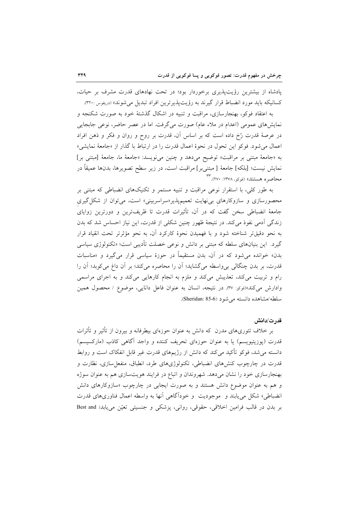پادشاه از بیشترین رؤیتپذیری برخوردار بود؛ در تحت نهادهای قدرت مشرف بر حیات، کسانیکه باید مورد انضباط قرار گیرند به رؤیت پذیر ترین افراد تبدیل می شوند» (دریفوس:۳۲۰).

به اعتقاد فوکو، بهنجارسازی، مراقبت و تنبیه در اشکال گذشتهٔ خود به صورت شکنجه و نمایشهای عمومی (اعدام در ملاء عام) صورت میگرفت. اما در عصر حاضر، نوعی جابجایی در عرصهٔ قدرت رُخ داده است که بر اساس آن، قدرت بر روح و روان و فکر و ذهن افراد اعمال می شود. فوکو این تحول در نحوهٔ اعمال قدرت را در ارتباط با گذار از «جامعهٔ نمایشی» به «جامعهٔ مبتنی بر مراقبت» توضیح میدهد و چنین می نویسد: «جامعهٔ ما، جامعهٔ [مبتنی بر] نمايش نيست؛ [بلكه] جامعهٔ [ مبتنىبر] مراقبت است، در زير سطح تصويرها، بدنها عميقاً در محاصره هستند» (فوکو، ۱۳۷۸: ۲۷۰).

به طور کلی، با استقرار نوعی مراقبت و تنبیه مستمر و تکنیکهای انضباطی که مبتنی بر محصورسازی و سازوکارهای بی نهایت تعمیمپذیر«سراسربینی» است، می توان از شکل گیری جامعهٔ انضباطی سخن گفت که در آن، تأثیرات قدرت تا ظریفترین و دورترین زوایای زندگی آدمی نفوذ میکند. در نتیجهٔ ظهور چنین شکلی از قدرت، این نیاز احساس شد که بدن به نحو دقیقتر شناخته شود و با فهمیدن نحوهٔ کارکرد آن، به نحو مؤثرتر تحت انقیاد قرار گیرد. این بنیانهای سلطه که مبتنی بر دانش و نوعی خصلت تأدیبی است؛ «تکنولوژی سیاسی<sub>،</sub> بدن» خوانده می شود که در آن، بدن مستقیماً در حوزهٔ سیاسی قرار می گیرد و «مناسبات قدرت، بر بدن چنگالی بی واسطه میگشاید؛ آن را محاصره میکند؛ بر آن داغ میکوبد؛ آن را رام و تربیت میکند، تعذیبش میکند و ملزم به انجام کارهایی میکند و به اجرای مراسمی وادارش مي كند»(فوكو: ٣٧). در نتيجه، انسان به عنوان فاعل دانايي، موضوع / محصول همين سلطه/مشاهده دانسته می شود (Sheridan: 85-6).

### قدرت/دانش

بر خلاف تئوریهای مدرن که دانش به عنوان حوزمای بیطرفانه و بیرون از تأثیر و تأثرات قدرت (یوزیتیویسم) یا به عنوان حوزهای تحریف کننده و واجد آگاهی کاذب (مارکسیسم) دانسته می شد، فوکو تأکید می کند که دانش از رژیمهای قدرت غیر قابل انفکاک است و روابط قدرت در چارچوب کنشهای انضباطی، تکنولوژیهای طرد، انطباق، منفعلسازی، نظارت و بهنجارسازی خود را نشان میدهد. شهروندان و اتباع در فرایند هویتسازی هم به عنوان سوژه و هم به عنوان موضوع دانش هستند و به صورت ایجابی در چارچوب «سازوکارهای دانش انضباطي» شكل مي يابند و موجوديت و خودآگاهي آنها به واسطه اعمال فناوريهاي قدرت بر بدن در قالب فرامین اخلاقی، حقوقی، روانی، پزشکی و جنسیتی تعیّن می یابد( Best and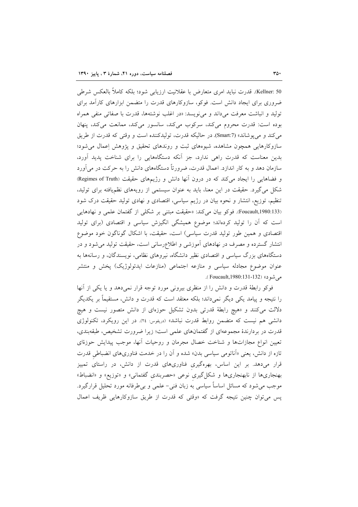Kellner: 50). قدرت نبايد امري متعارض با عقلانيت ارزيابي شود؛ بلكه كاملاً بالعكس شرطي ضروری برای ایجاد دانش است. فوکو، سازوکارهای قدرت را متضمن ابزارهای کارآمد برای تولید و انباشت معرفت میداند و می نویسد: «در اغلب نوشتهها، قدرت با صفاتی منفی همراه بوده است: قدرت محروم میکند، سرکوب میکند، سانسور میکند، ممانعت میکند، پنهان مي كند و مي يوشاند» (Smart:7). در حاليكه قدرت، توليدكننده است و وقتي كه قدرت از طريق سازوکارهایی همچون مشاهده، شیوههای ثبت و روندهای تحقیق و پژوهش اِعمال می شود؛ بدین معناست که قدرت راهی ندارد، جز آنکه دستگاههایی را برای شناخت پدید آورد، سازمان دهد و به کار اندازد. اعمال قدرت، ضرورتاً دستگاههای دانش را به حرکت در می آورد و فضاهایی را ایجاد میکند که در درون آنها دانش و رژیمهای حقیقت (Regimes of Truth) شکل می گیرد. حقیقت در این معنا، باید به عنوان سیستمی از رویههای نظمیافته برای تولید، تنظیم، توزیع، انتشار و نحوه بیان در رژیم سیاسی، اقتصادی و نهادی تولید حقیقت درک شود (Foucault,1980:133). فوكو بيان مي كند: «حقيقت مبتنى بر شكلي از گفتمان علمي و نهادهايي است که آن را تولید کردهاند؛ موضوع همیشگی انگیزش سیاسی و اقتصادی (برای تولید اقتصادی و همین طور تولید قدرت سیاسی) است، حقیقت، با اشکال گوناگون خود موضوع انتشار گسترده و مصرف در نهادهای آموزشی و اطلاعرسانی است، حقیقت تولید می شود و در دستگاههای بزرگ سیاسی و اقتصادی نظیر دانشگاه، نیروهای نظامی، نویسندگان، و رسانهها به عنوان موضوع مجادله سیاسی و منازعه اجتماعی (منازعات ایدئولوژیک) پخش و منتشر مي شود» (Foucault,1980:131-132).

فوکو رابطهٔ قدرت و دانش را از منظری بیرونی مورد توجه قرار نمی،دهد و یا یکی از آنها را نتیجه و پیامد یکی دیگر نمیداند؛ بلکه معتقد است که قدرت و دانش، مستقیماً بر یکدیگر دلالت می کنند و «هیچ رابطهٔ قدرتی بدون تشکیل حوزهای از دانش متصور نیست و هیچ دانشی هم نیست که متضمن روابط قدرت نباشد» (دریفوس: ٢٤). در این رویکرد، تکنولوژی قدرت در بردارندهٔ مجموعهای از گفتمانهای علمی است؛ زیرا ضرورت تشخیص، طبقهبندی، تعیین انواع مجازاتها و شناخت خصال مجرمان و روحیات آنها، موجب پیدایش حوزهٔای تازه از دانش، یعنی «آناتومی سیاسی بدن» شده و آن را در خدمت فناوریهای انضباطی قدرت قرار میدهد. بر این اساس، بهرهگیری فناوریهای قدرت از دانش، در راستای تمییز بهنجاریها از نابهنجاریها و شکلگیری نوعی «حصربندی گفتمانی» و «توزیع» و «انضباط» موجب می شود که مسائل اساساً سیاسی به زبان فنی– علمی و بی طرفانه مورد تحلیل قرارگیرد. پس می توان چنین نتیجه گرفت که «وقتی که قدرت از طریق سازوکارهایی ظریف اعمال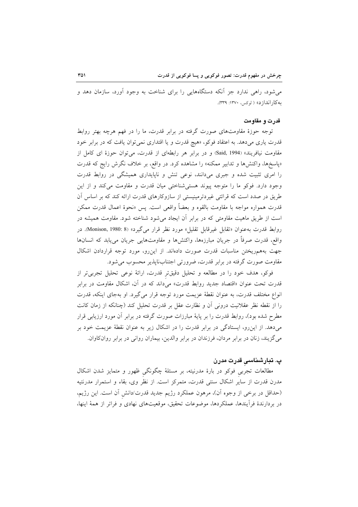می شود، راهی ندارد جز آنکه دستگاههایی را برای شناخت به وجود آورد، سازمان دهد و به كار انداز د» ( لوكس، ١٣٧٠: ٣٣٩).

#### قدرت و مقاومت

توجه حوزهٔ مقاومتهای صورت گرفته در برابر قدرت، ما را در فهم هرچه بهتر روابط قدرت یاری میدهد. به اعتقاد فوکو، «هیچ قدرت و یا اقتداری نمی توان یافت که در برابر خود مقاومت نیافریند» (Said, 1994) و در برابر هر رابطهای از قدرت، میتوان حوزهٔ ای کامل از «پاسخها، واکنشها و تدابیر ممکنه» را مشاهده کرد. در واقع، بر خلاف نگرش رایج که قدرت را امری تثبیت شده و جبری میدانند، نوعی تنش و ناپایداری همیشگی در روابط قدرت وجود دارد. فوکو ما را متوجه پیوند هستی شناختی میان قدرت و مقاومت میکند و از این طریق در صدد است که قرائتی غیردترمینیستی از سازوکارهای قدرت ارائه کند که بر اساس آن قدرت همواره مواجه با مقاومت بالقوه و بعضاً واقعي است. يس «نحوة اعمال قدرت ممكن است از طریق ماهیت مقاومتی که در برابر آن ایجاد میشود شناخته شود. مقاومت همیشه در روابط قدرت به عنوان «تقابل غيرقابل تقليل» مورد نظر قرار مي گيرد» (Monison, 1980: 8). در واقع، قدرت صرفاً در جریان مبارزهها، واکنشرها و مقاومتهایی جریان می،یابد که انسانها جهت بههم ریختن مناسبات قدرت صورت دادهاند. از این رو، مورد توجه قراردادن اشکال مقاومت صورت گرفته در برابر قدرت، ضرورتی اجتنابناپذیر محسوب می شود.

فوكو، هدف خود را در مطالعه و تحليل دقيقتر قدرت، ارائهٔ نوعي تحليل تجربي تر از قدرت تحت عنوان «اقتصاد جدید روابط قدرت» میداند که در آن، اشکال مقاومت در برابر انواع مختلف قدرت، به عنوان نقطهٔ عزیمت مورد توجه قرار می گیرد. او بهجای اینکه، قدرت را از نقطه نظر عقلانیت درونی آن و نظارت عقل بر قدرت تحلیل کند (چنانکه از زمان کانت مطرح شده بود)، روابط قدرت را بر پایهٔ مبارزات صورت گرفته در برابر آن مورد ارزیابی قرار میدهد. از اینرو، ایستادگی در برابر قدرت را در اشکال زیر به عنوان نقطهٔ عزیمت خود بر میگزیند، زنان در برابر مردان، فرزندان در برابر والدین، بیماران روانی در برابر روانکاوان.

# پ. تبارشناسی قدرت مدرن

مطالعات تجربی فوکو در بارهٔ مدرنیته، بر مسئلهٔ چگونگی ظهور و متمایز شدن اشکال مدرن قدرت از سایر اشکال سنتی قدرت، متمرکز است. از نظر وی، بقاء و استمرار مدرنتیه (حداقل در برخی از وجوه آن)، مرهون عملکرد رژیم جدید قدرت/دانش آن است. این رژیم، در بردارندهٔ فرأیندها، عملکردها، موضوعات تحقیق، موقعیتهای نهادی و فراتر از همهٔ اینها،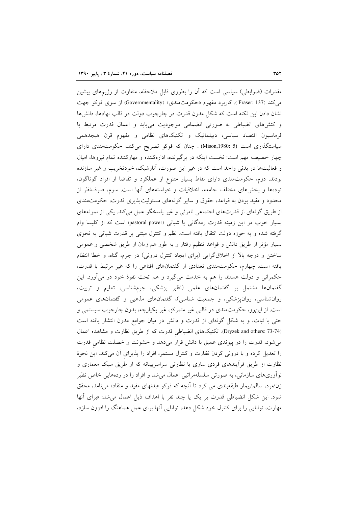مقدرات (ضوابطی) سیاسی است که آن را بطوری قابل ملاحظه، متفاوت از رژیمهای پیشین مي كند (Fraser: 137). كاربرد مفهوم «حكومت مندى» (Governmentality) از سوى فوكو جهت نشان دادن این نکته است که شکل مدرن قدرت در چارچوب دولت در قالب نهادها، دانشها و كنشهاى انضباطى به صورتى انضمامى موجوديت مى يابد و اعمال قدرت مرتبط با فرماسیون اقتصاد سیاسی، دیپلماتیک و تکنیکهای نظامی و مفهوم قرن هیجدهمی سیاستگذاری است (Mison,1980: 5) . چنان که فوکو تصریح میکند، حکومتمندی دارای چهار خصیصه مهم است: نخست اینکه در برگیرنده، ادارهکننده و مهارکننده تمام نیروها، امیال و فعالیتها در بدنی واحد است که در غیر این صورت، آنارشیک، خودتخریب و غیر سازنده بودند. دوم، حکومتمندی دارای نقاط بسیار متنوع از عملکرد و تقاضا از افراد گوناگون، تودهها و بخشهای مختلف جامعه، اخلاقیات و خواستههای آنها است. سوم، صرف ظر از محدود و مقید بودن به قواعد، حقوق و سایر گونههای مسئولیتپذیری قدرت، حکومتمندی از طریق گونهای از قدرتهای اجتماعی نامرئی و غیر پاسخگو عمل میکند. یکی از نمونههای بسیار خوب در این زمینه قدرت رمهگانی یا شبانی (pastoral power) است که از کلیسا وام گرفته شده و به حوزه دولت انتقال یافته است. نظم و کنترل مبتنی بر قدرت شبانی به نحوی بسیار مؤثر از طریق دانش و قواعد تنظیم رفتار و به طور هم زمان از طریق شخصی و عمومی ساختن و درجه بالا از اخلاق گرایی (برای ایجاد کنترل درونی) در جرم، گناه، و خطا انتظام یافته است. چهارم، حکومتمندی تعدادی از گفتمانهای اقناعی را که غیر مرتبط با قدرت، حکمرانی و دولت هستند را هم به خدمت میگیرد و هم تحت نفوذ خود در میآورد. این گفتمانها مشتمل بر گفتمانهای علمی (نظیر پزشکی، جرمشناسی، تعلیم و تربیت، روانشناسی، روانپزشکی، و جمعیت شناسی)، گفتمانهای مذهبی و گفتمانهای عمومی است. از این رو، حکومت مندی در قالبی غیر متمرکز، غیر یکپارچه، بدون چارچوب سیستمی و حتی با ثبات، و به شکل گونهای از قدرت و دانش در میان جوامع مدرن انتشار یافته است (Dryzek and others: 73-74). تكنيكهاى انضباطي قدرت كه از طريق نظارت و مشاهده اعمال می شود، قدرت را در پیوندی عمیق با دانش قرار میدهد و خشونت و خصلت نظامی قدرت را تعدیل کرده و با درونی کردن نظارت و کنترل مستمر، افراد را پذیرای آن میکند. این نحوهٔ نظارت از طریق فرآیندهای فردی سازی یا نظارتی سراسربینانه که از طریق سبک معماری و نوآوریهای سازمانی، به صورتی سلسلهمراتبی اعمال میشد و افراد را در ردههایی خاص نظیر زن/مرد، سالم/بیمار طبقهبندی می کرد تا آنچه که فوکو «بدنهای مفید و منقاد» می نامد، محقق شود. این شکل انضباطی قدرت بر یک یا چند نفر با اهداف ذیل اعمال می شد: «برای آنها مهارت، توانایی را برای کنترل خود شکل دهد، توانایی آنها برای عمل هماهنگ را افزون سازد،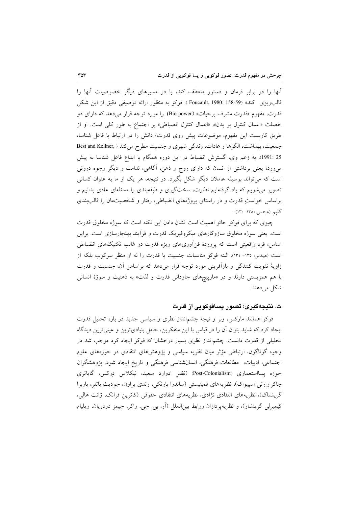أنها را در برابر فرمان و دستور منعطف کند، یا در مسیرهای دیگر خصوصیات آنها را قالب(يزي كند» (Foucault, 1980: 158-59 ). فوكو به منظور ارائه توصيفي دقيق از اين شكل قدرت، مفهوم «قدرت مشرف برحیات» (Bio power) را مورد توجه قرار می دهد که دارای دو خصلت «اعمال كنترل بر بدن»، «اعمال كنترل انضباطى» بر اجتماع به طور كلى است. او از طریق کاربست این مفهوم، موضوعات پیش روی قدرت/ دانش را در ارتباط با فاعل شناسا، جمعیت، بهداشت، الگوها و عادات، زندگی شهری و جنسیت مطرح می کند ( ,Best and Kellner 25 :1991). به زعم وي، گسترش انضباط در اين دوره همگام با ابداع فاعل شناسا به پيش میررود؛ یعنی برداشتی از انسان که دارای روح و ذهن، آگاهی، ندامت و دیگر وجوه درونی است که میتواند بوسیله عاملان دیگر شکل بگیرد. در نتیجه، هر یک از ما به عنوان کسانی تصویر می شویم که یاد گرفتهایم نظارت، سختگیری و طبقهبندی را مسئلهای عادی بدانیم و براساس خواست قدرت و در راستای پروژههای انضباطی، رفتار و شخصیتمان را قالببندی كنيم (هيندس، ١٣٨٠: ١٣٠).

چیزی که برای فوکو حائز اهمیت است نشان دادن این نکته است که سوژه مخلوق قدرت است. یعنی سوژه مخلوق سازوکارهای میکروفیزیک قدرت و فرأیند بهنجارسازی است. براین اساس، فرد واقعیتی است که پروردهٔ فن آوریهای ویژه قدرت در غالب تکنیکهای انضباطی است (هیندس: ١٣٥- ١٣٤). البته فوكو مناسبات جنسیت با قدرت را نه از منظر سركوب بلكه از زاویهٔ تقویت کنندگی و بازاًفرینی مورد توجه قرار میدهد که براساس آن، جنسیت و قدرت با هم همزیستی دارند و در «مارپیچهای جاودانی قدرت و لذت» به ذهنیت و سوژهٔ انسانی شکل می دهند.

## ت. نتيجەگيرى؛ تصور پسافوكويى از قدرت

فوکو همانند مارکس، وبر و نیچه چشمانداز نظری و سیاسی جدید در باره تحلیل قدرت ایجاد کرد که شاید بتوان آن را در قیاس با این متفکرین، حامل بنیادیترین و عینیترین دیدگاه تحلیلی از قدرت دانست. چشمانداز نظری بسیار درخشان که فوکو ایجاد کرد موجب شد در وجوه گوناگون، ارتباطی مؤثر میان نظریه سیاسی و پژوهشهای انتقادی در حوزههای علوم اجتماعی، ادبیات، مطالعات فرهنگی، انسانشناسی فرهنگی و تاریخ ایجاد شود. پژوهشگران حوزه پسااستعماری (Post-Colonialism) (نظیر ادوارد سعید، نیکلاس دِرکس، گایاتری چاکراوارتی اسپیواک)، نظریههای فمینیستی (ساندرا بارتکی، وندی براون، جودیث باتلر، باربرا گریشناک)، نظریههای انتقادی نژادی، نظریههای انتقادی حقوقی (کاترین فرانک، ژانت هالی، کیمبرلی گرینشاو)، و نظریهپردازان روابط بین|لملل (اَر. بی. جی. واکر، جیمز دردریان، ویلیام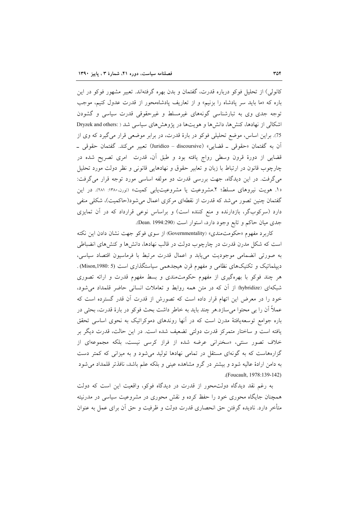کانولی) از تحلیل فوکو درباره قدرت، گفتمان و بدن بهره گرفتهاند. تعبیر مشهور فوکو در این باره كه «ما بايد سر پادشاه را بزنيم» و از تعاريف پادشاهمحور از قدرت عدول كنيم، موجب توجه جدی وی به تبارشناسی گونههای غیرمسلط و غیرحقوقی قدرت سیاسی و گشودن اشکالی از نهادها، کنشها، دانشها و هویتها در پژوهشهای سیاسی شد ( :Dryzek and others 75. براین اساس، موضع تحلیلی فوکو در بارهٔ قدرت، در برابر موضعی قرار میگیرد که وی از آن به گفتمان «حقوقی ــ قضایی» (Juridico – discoursive) تعبیر میکند. گفتمان حقوقی ــ قضایی از دورهٔ قرون وسطی رواج یافته بود و طبق آن، قدرت امری تصریح شده در چارچوب قانون در ارتباط با زبان و تعابیر حقوق و نهادهایی قانونی و نظر دولت مورد تحلیل میگرفت. در این دیدگاه، جهت بررسی قدرت دو مولفه اساسی مورد توجه قرار میگرفت: «۱. هویت نیروهای مسلط؛ ۲.مشروعیت یا مشروعیتیابی کمیت» (تورن،۱۳۸۰: ۲۸۱). در این گفتمان چنین تصور می شد که قدرت از نقطهای مرکزی اعمال می شود(حاکمیت)، شکلی منفی دارد (سرکوبگر، بازدارنده و منع کننده است) و براساس نوعی قرارداد که در آن تمایزی جدی میان حاکم و تابع وجود دارد، استوار است (Dean. 1994:290).

كاربرد مفهوم «حكومت مندي» (Governmentality) از سوى فوكو جهت نشان دادن اين نكته است که شکل مدرن قدرت در چارچوب دولت در قالب نهادها، دانشها و کنشهای انضباطی به صورتی انضمامی موجودیت می یابد و اعمال قدرت مرتبط با فرماسیون اقتصاد سیاسی، دیپلماتیک و تکنیکهای نظامی و مفهوم قرن هیجدهمی سیاستگذاری است (Mison,1980: 5). هر چند فوکو با بهرهگیری از مفهوم حکومتمندی و بسط مفهوم قدرت و ارائه تصوری شبکهای (hybridize) از آن که در متن همه روابط و تعاملات انسانی حاضر قلمداد می شود، خود را در معرض این اتهام قرار داده است که تصورش از قدرت آن قدر گسترده است که عملاً أن را بي محتوا ميسازد.هر چند بايد به خاطر داشت بحث فوكو در بارهٔ قدرت، بحثي در باره جوامع توسعهیافتهٔ مدرن است که در آنها روندهای دموکراتیک به نحوی اساسی تحقق یافته است و ساختار متمرکز قدرت دولتی تضعیف شده است. در این حالت، قدرت دیگر بر خلاف تصور سنتي، «سخنراني عرضه شده از فراز كرسي نيست، بلكه مجموعهاي از گزارههاست که به گونهای مستقل در تمامی نهادها تولید می شود و به میزانی که کمتر دست به دامن ارادهٔ عالیه شود و بیشتر در گرو مشاهده عینی و بلکه علم باشد، نافذتر قلمداد میشود (Foucault, 1978:139-142).

به رغم نقد دیدگاه دولت¤حور از قدرت در دیدگاه فوکو، واقعیت این است که دولت همچنان جایگاه محوری خود را حفظ کرده و نقش محوری در مشروعیت سیاسی در مدرنیته متأخر دارد. نادیده گرفتن حق انحصاری قدرت دولت و ظرفیت و حق اّن برای عمل به عنوان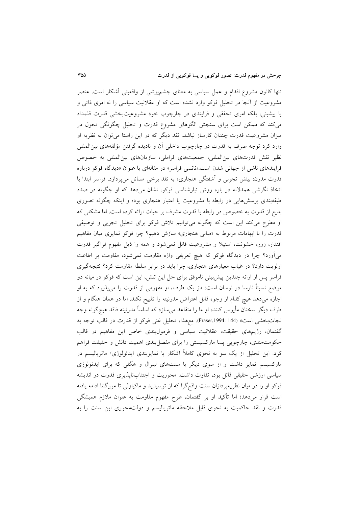تنها کانون مشروع اقدام و عمل سیاسی به معنای چشمپوشی از واقعیتی آشکار است. عنصر مشروعیت از آنجا در تحلیل فوکو وارد نشده است که او عقلانیت سیاسی را نه امری ذاتی و یا پیشینی، بلکه امری تحققی و فرایندی در چارچوب خود مشروعیتبخشی قدرت قلمداد میکند که ممکن است برای سنجش الگوهای مشروع قدرت و تحلیل چگونگی تحول در میزان مشروعیت قدرت چندان کارساز نباشد. نقد دیگر که در این راستا می توان به نظریه او وارد کرد توجه صرف به قدرت در چارچوب داخلی اَن و نادیده گرفتن مؤلفههای بینالمللی نظیر نقش قدرتهای بینالمللی، جمعیتهای فراملی، سازمانهای بینالمللی به خصوص فرایندهای ناشی از جهانی شدن است.«نانسی فراسر» در مقالهای با عنوان «دیدگاه فوکو درباره قدرت مدرن: بینش تجربی و آشفتگی هنجاری» به نقد برخی مسائل میپردازد. فراسر ابتدا با اتخاذ نگرشی همدلانه در باره روش تبارشناسی فوکو، نشان میدهد که او چگونه در صدد طبقهبندی پرسشهایی در رابطه با مشروعیت یا اعتبار هنجاری بوده و اینکه چگونه تصوری بدیع از قدرت به خصوص در رابطه با قدرت مشرف بر حیات ارائه کرده است. اما مشکلی که او مطرح میکند این است که چگونه میتوانیم تلاش فوکو برای تحلیل تجربی و توصیفی قدرت را با ابهامات مربوط به «مبانی هنجاری» سازش دهیم؟ چرا فوکو تمایزی میان مفاهیم اقتدار، زور، خشونت، استیلا و مشروعیت قائل نمیشود و همه را ذیل مفهوم فراگیر قدرت میآورد؟ چرا در دیدگاه فوکو که هیچ تعریفی واژه مقاومت نمیشود، مقاومت بر اطاعت اولویت دارد؟ در غیاب معیارهای هنجاری، چرا باید در برابر سلطه مقاومت کرد؟ نتیجه گیری فراسر پس از ارائه چندین پیش بینی ناموفق برای حل این تنش، این است که فوکو در میانه دو موضع نسبتاً نارسا در نوسان است: «از یک طرف، او مفهومی از قدرت را می پذیرد که به او اجازه میدهد هیچ کدام از وجوه قابل اعتراض مدرنیته را تقبیح نکند. اما در همان هنگام و از طرف دیگر سخنان مأیوس کننده او ما را متقاعد میسازد که اساساً مدرنیته فاقد هیچگونه وجه نجاتبخشي است» (Fraser,1994: 144). معهذا، تحليل غني فوكو از قدرت در قالب توجه به گفتمان، رژیمهای حقیقت، عقلانیت سیاسی و فرمول بندی خاص این مفاهیم در قالب حکومتمندی، چارچوبی پسا مارکسیستی را برای مفصل بندی اهمیت دانش و حقیقت فراهم کرد. این تحلیل از یک سو به نحوی کاملاً آشکار با تمایزبندی ایدئولوژی/ ماترپالیسم در مارکسیسم تمایز داشت و از سوی دیگر با سنتهای لیبرال و هگلی که برای ایدئولوژی سیاسی ارزشی حقیقی قائل بود، تفاوت داشت. محوریت و اجتنابناپذیری قدرت در اندیشه فوکو او را در میان نظریهپردازان سنت واقع گرا که از توسیدید و ماکیاولی تا مورگنتا ادامه یافته است قرار میدهد؛ اما تأکید او بر گفتمان، طرح مفهوم مقاومت به عنوان ملازم همیشگی قدرت و نقد حاکمیت به نحوی قابل ملاحظه ماتریالیسم و دولتمحوری این سنت را به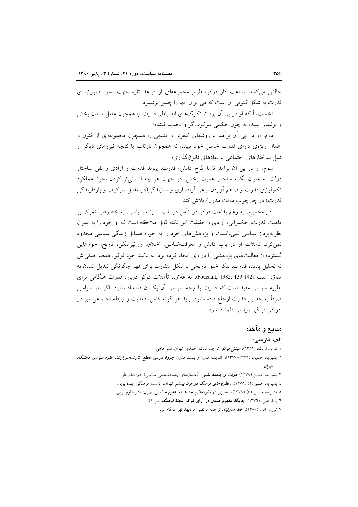چالش می کشد. بداعت کار فوکو، طرح مجموعهای از قواعد تازه جهت نحوه صورتبندی قدرت به شکل کنونی آن است که می توان آنها را چنین برشمرد:

نخست، انکه او در یی اَن بود تا تکنیکهای انضباطی قدرت را همچون عامل سامان بخش و توليدي ببيند، نه چون حكمي سركوبگر و تحديد كننده؛

دوم، او در یی آن برآمد تا روشهای کیفری و تنبیهی را همچون مجموعهای از فنون و اعمال ویژهی دارای قدرت خاص خود ببیند، نه همچون بازتاب یا نتیجه نیروهای دیگر از قبیل ساختارهای اجتماعی یا نهادهای قانون گذاری؛

سوم، او در یی آن برآمد تا با طرح دانش/ قدرت، پیوند قدرت و آزادی و نفی ساختار دولت به عنوان یگانه ساختار هویت بخش، در جهت هر چه انسانیتر کردن نحوهٔ عملکرد تکنولوژی قدرت و فراهم آوردن نوعی آزادسازی و سازندگی(در مقابل سرکوب و بازدارندگی قدرت) در چارچوب دولت مدرن) تلاش کند.

در مجموع، به رغم بداعت فوکو در تأمل در باب اندیشه سیاسی، به خصوص تمرکز بر ماهيت قدرت، حكمراني، آزادي و حقيقت اين نكته قابل ملاحظه است كه او خود را به عنوان نظریهپرداز سیاسی نمیدانست و پژوهشهای خود را به حوزه مسائل زندگی سیاسی محدود نمیکرد. تأملات او در باب دانش و معرفتشناسی، اخلاق، روانپزشکی، تاریخ، حوزهایی گسترده از فعالیتهای پژوهشی را در وی ایجاد کرده بود. به تأکید خود فوکو، هدف اصلی اش نه تحلیل پدیده قدرت، بلکه خلق تاریخی با شکل متفاوت برای فهم چگونگی تبدیل انسان به سوژه است (Foucault, 1982: 139-142. به علاوه، تأملات فوکو درباره قدرت هنگامی برای نظریه سیاسی مفید است که قدرت با وجه سیاسی آن یکسان قلمداد نشود. اگر امر سیاسی صرفاً به حضور قدرت ارجاع داده نشود، باید هر گونه کنش، فعالیت و رابطه اجتماعی نیز در ادراکی فراگیر سیاسی قلمداد شود.

### منابع و مآخذ:

### الف. فارسي:

۱. بارنز، اریک، (۱۳۸۱)، *میشل فوکو*. ترجمه بابک احمدی. تهران: نشر ماهی. ۲. بشیریه، حسین، (۱۳۷٦–۱۳۷۷)، اندیشهٔ مدرن و پست مدرن. **ج***زوهٔ درسی مقطع کارشناسی/رشد علوم سیاسی دانشگاه* تصران . ۳. بشیریه، حسین (۱۳۷۸). *دولت و جامعهٔ مدنی* (گفتمانهای جامعهشناس<sub>ی</sub> سیاسی). قم: نقدونظر . ٤. بشیریه، حسین(٢) (١٣٧٨). . *نظریههای فرهنگ در قرن بیستم.* تهران: مؤسسهٔ فرهنگ<sub>ی</sub> آینده پویان. ۵. بشیریه، حسین (۳) (۱۳۷۸)، . *سیری در نظریههای جدید در علوم سیاسی.* تهران: نشر علوم نوین. ٦. پایا، علی، (١٣٧٦)، **جایگاه مفهوم صدق در آرای فوکو**. *مجلهٔ فرهنگ*. ش ٢٢. ۷. تورن، آلن، (۱۳۸۰)، ن*قد مدرنیته.* ترجمه مرتضی مردیها. تهران: گام نو.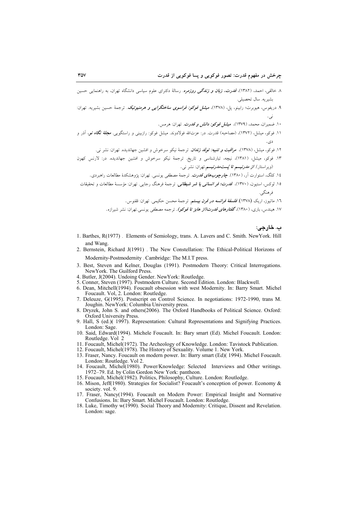- ۸ خالقی، احمد، (۱۳۸۲)، *قدرت، زبان و زندگی روزمره.* رسالهٔ دکترای علوم سیاسی دانشگاه تهران، به راهنمایی حسین بشيريه. سال تحصيلي.
- ۹. دریفوس، هیوبرت؛ رابینو، پل، (۱۳۷۸)، *میشل فوکو: فراسوی ساختگرایی و هرمنیوتیک.* ترجمهٔ حسین بشیریه. تهران: نبي .
	- ۱۰. ضعیہ ان، محمد، (۱۳۷۹)، م*یشل فوکو: دانش و قلیوت*. تھران: هرمس.
- ۱۱. فوکو، میشل، (۱۳۷۲)، (مصاحبه) قدرت. در: عزتالله فولادوند. میشل فوکو: رازبینی و راستگویی<sub></sub>. *مجلهٔ نگاه نو،* آذر و
	- ۱۲. فوکو، میشل، (۱۳۷۸)، م*واقبت و تنبیه: تولد زندان.* ترجمهٔ نیکو سرخوش و افشین جهاندیده. تهران: نشر نی.
- ۱۳. فوکو، میشل، (۱۳۸۱)، نیچه، تبارشناسی و تاریخ. ترجمهٔ نیکو سرخوش و افشین جهاندیده. در: لارنس کهون (ويراستار). *از مدرنيسم تا پُستمدرنيسم تهر*ان: نشر ني.
	- ۱۶. کلگ، استوارت اَر، (۱۳۸۰). **چ***ارچوبهای قدرت***.** ترجمهٔ مصطفی یونسی. تهران: پژوهشکدهٔ مطالعات راهبردی.
- ۱۵. لوکس، استیون، (۱۳۷۰)، ق*درت؛ فر انسانی یا شر شیطانی.* ترجمهٔ فرهنگ رجایی. تهران: مؤسسهٔ مطالعات و تحقیقات فرهنگے ِ.
	- ۱٦. ماتيوز، اريک (١٣٧٨). *فلسفة فرانسه در قرن بيستم.* ترجمهٔ محسن حکيمي. تهران: ققنوس.
	- ۱۷. هیندس، باری، (۱۳۸۰)، **گفتارها***ی قدرت(از هایز تا فوکو).* **ت**وجمه مصطفی بونسی.تهران: نشر شیرازه.

# ب. خارجي:

- 1. Barthes, R(1977). Elements of Semiology, trans. A. Lavers and C. Smith. New York. Hill and Wang
- 2. Bernstein, Richard J(1991) . The New Constellation: The Ethical-Political Horizons of Modernity-Postmodernity . Cambridge: The M.I.T press.
- 3. Best, Steven and Kelner, Douglas (1991). Postmodern Theory: Critical Interrogations. NewYork. The Guilford Press.
- 4. Butler, J(2004). Undoing Gender. NewYork: Routledge.
- 5. Conner. Steven (1997). Postmodern Culture. Second Edition. London: Blackwell.
- 6. Dean, Mitchell(1994). Foucault obsession with west Modernity. In: Barry Smart. Michel Foucault. Vol, 2. London: Routledge.
- 7. Deleuze, G(1995). Postscript on Control Science. In negotiations: 1972-1990, trans M. Joughin. NewYork: Columbia University press.
- 8. Dryzek, John S. and others(2006). The Oxford Handbooks of Political Science. Oxford: Oxford University Press.
- 9. Hall, S (ed.)( 1997). Representation: Cultural Representations and Signifying Practices. London: Sage
- 10. Said, Edward(1994). Michele Foucault. In: Bary smart (Ed). Michel Foucault. London: Routledge. Vol 2
- 11. Foucault, Michel(1972). The Archeology of Knowledge. London: Tavistock Publication.
- 12. Foucault, Michel(1978). The History of Sexuality. Volume 1. New York.
- 13. Fraser, Nancy. Foucault on modern power. In: Barry smart (Ed)(1994). Michel Foucault. London: Routledge. Vol 2.
- 14. Foucault, Michel (1980). Power/Knowledge: Selected Interviews and Other writings. 1972-79. Ed. by Colin Gordon New York: pantheon.
- 15. Foucault, Michel(1982). Politics, Philosophy, Culture. London: Routledge.
- 16. Mison, Jeff(1980). Strategies for Socialist? Foucault's conception of power. Economy & society. vol. 9.
- 17. Fraser, Nancy(1994). Foucault on Modern Power: Empirical Insight and Normative Confusions. In: Bary Smart. Michel Foucault. London: Routledge.
- 18. Luke, Timothy w(1990). Social Theory and Modernity: Critique, Dissent and Revelation. London: sage.